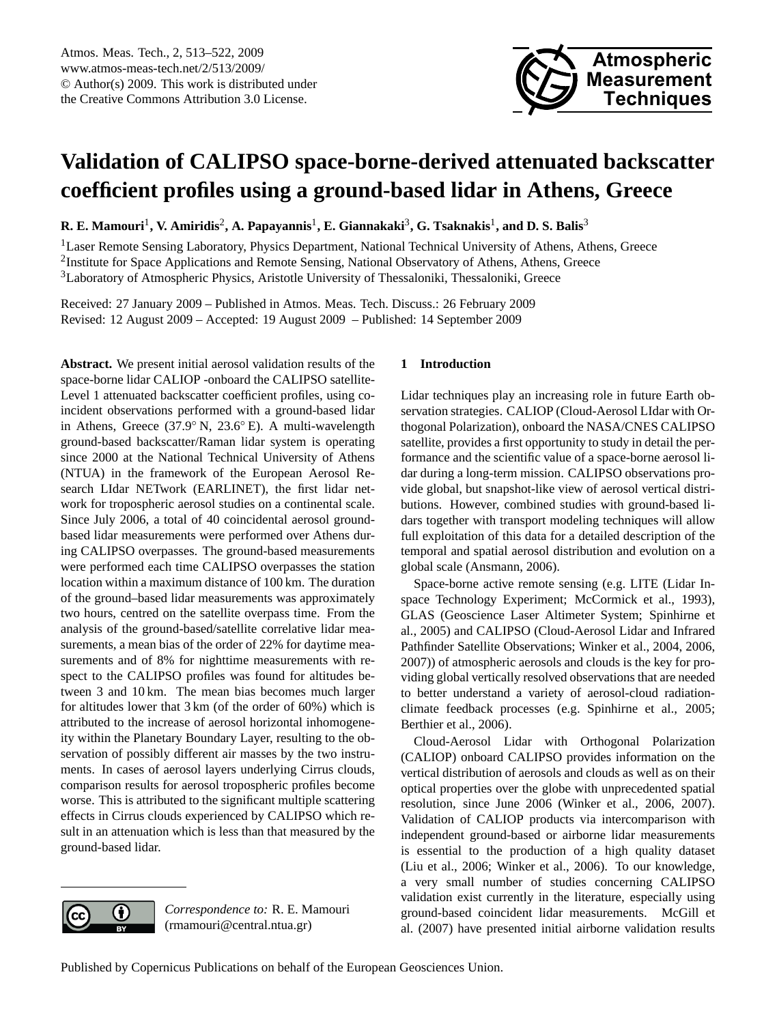

# <span id="page-0-0"></span>**Validation of CALIPSO space-borne-derived attenuated backscatter coefficient profiles using a ground-based lidar in Athens, Greece**

 $R$ **. E. Mamouri<sup>1</sup>, V. Amiridis<sup>2</sup>, A. Papayannis<sup>1</sup>, E. Giannakaki<sup>3</sup>, G. Tsaknakis<sup>1</sup>, and D. S. Balis<sup>3</sup>** 

<sup>1</sup>Laser Remote Sensing Laboratory, Physics Department, National Technical University of Athens, Athens, Greece <sup>2</sup>Institute for Space Applications and Remote Sensing, National Observatory of Athens, Athens, Greece <sup>3</sup>Laboratory of Atmospheric Physics, Aristotle University of Thessaloniki, Thessaloniki, Greece

Received: 27 January 2009 – Published in Atmos. Meas. Tech. Discuss.: 26 February 2009 Revised: 12 August 2009 – Accepted: 19 August 2009 – Published: 14 September 2009

**Abstract.** We present initial aerosol validation results of the space-borne lidar CALIOP -onboard the CALIPSO satellite-Level 1 attenuated backscatter coefficient profiles, using coincident observations performed with a ground-based lidar in Athens, Greece (37.9◦ N, 23.6◦ E). A multi-wavelength ground-based backscatter/Raman lidar system is operating since 2000 at the National Technical University of Athens (NTUA) in the framework of the European Aerosol Research LIdar NETwork (EARLINET), the first lidar network for tropospheric aerosol studies on a continental scale. Since July 2006, a total of 40 coincidental aerosol groundbased lidar measurements were performed over Athens during CALIPSO overpasses. The ground-based measurements were performed each time CALIPSO overpasses the station location within a maximum distance of 100 km. The duration of the ground–based lidar measurements was approximately two hours, centred on the satellite overpass time. From the analysis of the ground-based/satellite correlative lidar measurements, a mean bias of the order of 22% for daytime measurements and of 8% for nighttime measurements with respect to the CALIPSO profiles was found for altitudes between 3 and 10 km. The mean bias becomes much larger for altitudes lower that 3 km (of the order of 60%) which is attributed to the increase of aerosol horizontal inhomogeneity within the Planetary Boundary Layer, resulting to the observation of possibly different air masses by the two instruments. In cases of aerosol layers underlying Cirrus clouds, comparison results for aerosol tropospheric profiles become worse. This is attributed to the significant multiple scattering effects in Cirrus clouds experienced by CALIPSO which result in an attenuation which is less than that measured by the ground-based lidar.

# **1 Introduction**

Lidar techniques play an increasing role in future Earth observation strategies. CALIOP (Cloud-Aerosol LIdar with Orthogonal Polarization), onboard the NASA/CNES CALIPSO satellite, provides a first opportunity to study in detail the performance and the scientific value of a space-borne aerosol lidar during a long-term mission. CALIPSO observations provide global, but snapshot-like view of aerosol vertical distributions. However, combined studies with ground-based lidars together with transport modeling techniques will allow full exploitation of this data for a detailed description of the temporal and spatial aerosol distribution and evolution on a global scale (Ansmann, 2006).

Space-borne active remote sensing (e.g. LITE (Lidar Inspace Technology Experiment; McCormick et al., 1993), GLAS (Geoscience Laser Altimeter System; Spinhirne et al., 2005) and CALIPSO (Cloud-Aerosol Lidar and Infrared Pathfinder Satellite Observations; Winker et al., 2004, 2006, 2007)) of atmospheric aerosols and clouds is the key for providing global vertically resolved observations that are needed to better understand a variety of aerosol-cloud radiationclimate feedback processes (e.g. Spinhirne et al., 2005; Berthier et al., 2006).

Cloud-Aerosol Lidar with Orthogonal Polarization (CALIOP) onboard CALIPSO provides information on the vertical distribution of aerosols and clouds as well as on their optical properties over the globe with unprecedented spatial resolution, since June 2006 (Winker et al., 2006, 2007). Validation of CALIOP products via intercomparison with independent ground-based or airborne lidar measurements is essential to the production of a high quality dataset (Liu et al., 2006; Winker et al., 2006). To our knowledge, a very small number of studies concerning CALIPSO validation exist currently in the literature, especially using ground-based coincident lidar measurements. McGill et al. (2007) have presented initial airborne validation results

*Correspondence to:* R. E. Mamouri (rmamouri@central.ntua.gr)

 $\left( \cdot \right)$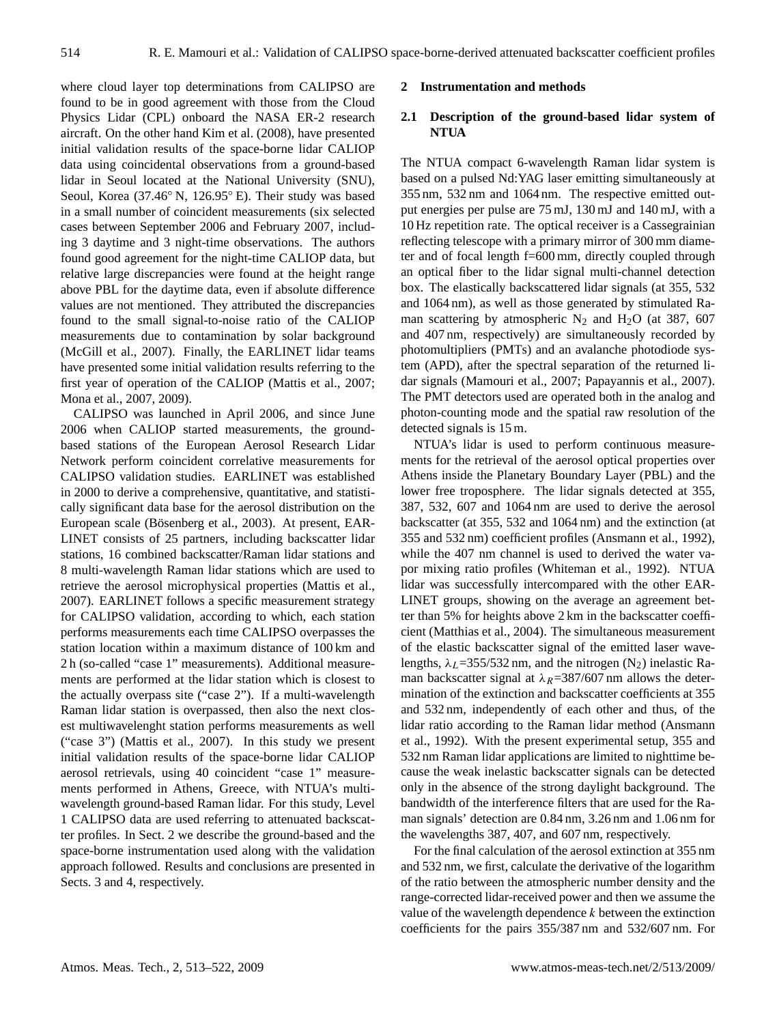where cloud layer top determinations from CALIPSO are found to be in good agreement with those from the Cloud Physics Lidar (CPL) onboard the NASA ER-2 research aircraft. On the other hand Kim et al. (2008), have presented initial validation results of the space-borne lidar CALIOP data using coincidental observations from a ground-based lidar in Seoul located at the National University (SNU), Seoul, Korea (37.46◦ N, 126.95◦ E). Their study was based in a small number of coincident measurements (six selected cases between September 2006 and February 2007, including 3 daytime and 3 night-time observations. The authors found good agreement for the night-time CALIOP data, but relative large discrepancies were found at the height range above PBL for the daytime data, even if absolute difference values are not mentioned. They attributed the discrepancies found to the small signal-to-noise ratio of the CALIOP measurements due to contamination by solar background (McGill et al., 2007). Finally, the EARLINET lidar teams have presented some initial validation results referring to the first year of operation of the CALIOP (Mattis et al., 2007; Mona et al., 2007, 2009).

CALIPSO was launched in April 2006, and since June 2006 when CALIOP started measurements, the groundbased stations of the European Aerosol Research Lidar Network perform coincident correlative measurements for CALIPSO validation studies. EARLINET was established in 2000 to derive a comprehensive, quantitative, and statistically significant data base for the aerosol distribution on the European scale (Bösenberg et al., 2003). At present, EAR-LINET consists of 25 partners, including backscatter lidar stations, 16 combined backscatter/Raman lidar stations and 8 multi-wavelength Raman lidar stations which are used to retrieve the aerosol microphysical properties (Mattis et al., 2007). EARLINET follows a specific measurement strategy for CALIPSO validation, according to which, each station performs measurements each time CALIPSO overpasses the station location within a maximum distance of 100 km and 2 h (so-called "case 1" measurements). Additional measurements are performed at the lidar station which is closest to the actually overpass site ("case 2"). If a multi-wavelength Raman lidar station is overpassed, then also the next closest multiwavelenght station performs measurements as well ("case 3") (Mattis et al., 2007). In this study we present initial validation results of the space-borne lidar CALIOP aerosol retrievals, using 40 coincident "case 1" measurements performed in Athens, Greece, with NTUA's multiwavelength ground-based Raman lidar. For this study, Level 1 CALIPSO data are used referring to attenuated backscatter profiles. In Sect. 2 we describe the ground-based and the space-borne instrumentation used along with the validation approach followed. Results and conclusions are presented in Sects. 3 and 4, respectively.

### **2 Instrumentation and methods**

## **2.1 Description of the ground-based lidar system of NTUA**

The NTUA compact 6-wavelength Raman lidar system is based on a pulsed Nd:YAG laser emitting simultaneously at 355 nm, 532 nm and 1064 nm. The respective emitted output energies per pulse are 75 mJ, 130 mJ and 140 mJ, with a 10 Hz repetition rate. The optical receiver is a Cassegrainian reflecting telescope with a primary mirror of 300 mm diameter and of focal length f=600 mm, directly coupled through an optical fiber to the lidar signal multi-channel detection box. The elastically backscattered lidar signals (at 355, 532 and 1064 nm), as well as those generated by stimulated Raman scattering by atmospheric  $N_2$  and  $H_2O$  (at 387, 607 and 407 nm, respectively) are simultaneously recorded by photomultipliers (PMTs) and an avalanche photodiode system (APD), after the spectral separation of the returned lidar signals (Mamouri et al., 2007; Papayannis et al., 2007). The PMT detectors used are operated both in the analog and photon-counting mode and the spatial raw resolution of the detected signals is 15 m.

NTUA's lidar is used to perform continuous measurements for the retrieval of the aerosol optical properties over Athens inside the Planetary Boundary Layer (PBL) and the lower free troposphere. The lidar signals detected at 355, 387, 532, 607 and 1064 nm are used to derive the aerosol backscatter (at 355, 532 and 1064 nm) and the extinction (at 355 and 532 nm) coefficient profiles (Ansmann et al., 1992), while the 407 nm channel is used to derived the water vapor mixing ratio profiles (Whiteman et al., 1992). NTUA lidar was successfully intercompared with the other EAR-LINET groups, showing on the average an agreement better than 5% for heights above 2 km in the backscatter coefficient (Matthias et al., 2004). The simultaneous measurement of the elastic backscatter signal of the emitted laser wavelengths,  $\lambda_L$ =355/532 nm, and the nitrogen (N<sub>2</sub>) inelastic Raman backscatter signal at  $\lambda_R$ =387/607 nm allows the determination of the extinction and backscatter coefficients at 355 and 532 nm, independently of each other and thus, of the lidar ratio according to the Raman lidar method (Ansmann et al., 1992). With the present experimental setup, 355 and 532 nm Raman lidar applications are limited to nighttime because the weak inelastic backscatter signals can be detected only in the absence of the strong daylight background. The bandwidth of the interference filters that are used for the Raman signals' detection are 0.84 nm, 3.26 nm and 1.06 nm for the wavelengths 387, 407, and 607 nm, respectively.

For the final calculation of the aerosol extinction at 355 nm and 532 nm, we first, calculate the derivative of the logarithm of the ratio between the atmospheric number density and the range-corrected lidar-received power and then we assume the value of the wavelength dependence  $k$  between the extinction coefficients for the pairs 355/387 nm and 532/607 nm. For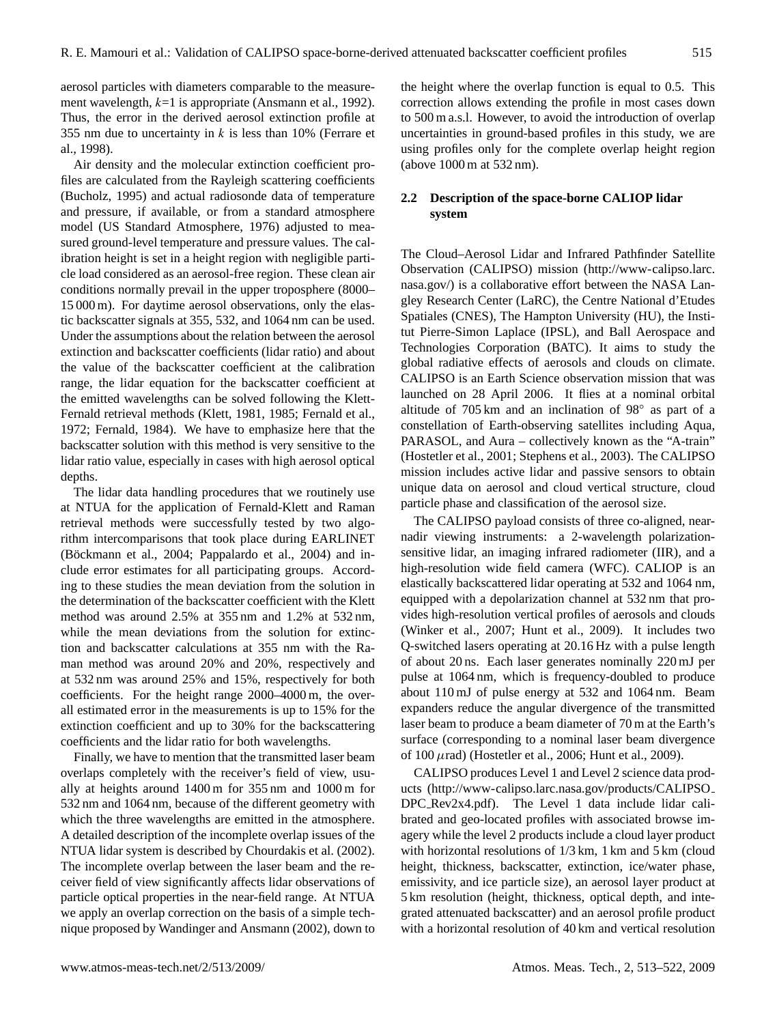aerosol particles with diameters comparable to the measurement wavelength,  $k=1$  is appropriate (Ansmann et al., 1992). Thus, the error in the derived aerosol extinction profile at 355 nm due to uncertainty in  $k$  is less than 10% (Ferrare et al., 1998).

Air density and the molecular extinction coefficient profiles are calculated from the Rayleigh scattering coefficients (Bucholz, 1995) and actual radiosonde data of temperature and pressure, if available, or from a standard atmosphere model (US Standard Atmosphere, 1976) adjusted to measured ground-level temperature and pressure values. The calibration height is set in a height region with negligible particle load considered as an aerosol-free region. These clean air conditions normally prevail in the upper troposphere (8000– 15 000 m). For daytime aerosol observations, only the elastic backscatter signals at 355, 532, and 1064 nm can be used. Under the assumptions about the relation between the aerosol extinction and backscatter coefficients (lidar ratio) and about the value of the backscatter coefficient at the calibration range, the lidar equation for the backscatter coefficient at the emitted wavelengths can be solved following the Klett-Fernald retrieval methods (Klett, 1981, 1985; Fernald et al., 1972; Fernald, 1984). We have to emphasize here that the backscatter solution with this method is very sensitive to the lidar ratio value, especially in cases with high aerosol optical depths.

The lidar data handling procedures that we routinely use at NTUA for the application of Fernald-Klett and Raman retrieval methods were successfully tested by two algorithm intercomparisons that took place during EARLINET (Böckmann et al., 2004; Pappalardo et al., 2004) and include error estimates for all participating groups. According to these studies the mean deviation from the solution in the determination of the backscatter coefficient with the Klett method was around 2.5% at 355 nm and 1.2% at 532 nm, while the mean deviations from the solution for extinction and backscatter calculations at 355 nm with the Raman method was around 20% and 20%, respectively and at 532 nm was around 25% and 15%, respectively for both coefficients. For the height range 2000–4000 m, the overall estimated error in the measurements is up to 15% for the extinction coefficient and up to 30% for the backscattering coefficients and the lidar ratio for both wavelengths.

Finally, we have to mention that the transmitted laser beam overlaps completely with the receiver's field of view, usually at heights around 1400 m for 355 nm and 1000 m for 532 nm and 1064 nm, because of the different geometry with which the three wavelengths are emitted in the atmosphere. A detailed description of the incomplete overlap issues of the NTUA lidar system is described by Chourdakis et al. (2002). The incomplete overlap between the laser beam and the receiver field of view significantly affects lidar observations of particle optical properties in the near-field range. At NTUA we apply an overlap correction on the basis of a simple technique proposed by Wandinger and Ansmann (2002), down to

the height where the overlap function is equal to 0.5. This correction allows extending the profile in most cases down to 500 m a.s.l. However, to avoid the introduction of overlap uncertainties in ground-based profiles in this study, we are using profiles only for the complete overlap height region (above 1000 m at 532 nm).

## **2.2 Description of the space-borne CALIOP lidar system**

The Cloud–Aerosol Lidar and Infrared Pathfinder Satellite Observation (CALIPSO) mission [\(http://www-calipso.larc.](http://www-calipso.larc.nasa.gov/) [nasa.gov/\)](http://www-calipso.larc.nasa.gov/) is a collaborative effort between the NASA Langley Research Center (LaRC), the Centre National d'Etudes Spatiales (CNES), The Hampton University (HU), the Institut Pierre-Simon Laplace (IPSL), and Ball Aerospace and Technologies Corporation (BATC). It aims to study the global radiative effects of aerosols and clouds on climate. CALIPSO is an Earth Science observation mission that was launched on 28 April 2006. It flies at a nominal orbital altitude of 705 km and an inclination of 98◦ as part of a constellation of Earth-observing satellites including Aqua, PARASOL, and Aura – collectively known as the "A-train" (Hostetler et al., 2001; Stephens et al., 2003). The CALIPSO mission includes active lidar and passive sensors to obtain unique data on aerosol and cloud vertical structure, cloud particle phase and classification of the aerosol size.

The CALIPSO payload consists of three co-aligned, nearnadir viewing instruments: a 2-wavelength polarizationsensitive lidar, an imaging infrared radiometer (IIR), and a high-resolution wide field camera (WFC). CALIOP is an elastically backscattered lidar operating at 532 and 1064 nm, equipped with a depolarization channel at 532 nm that provides high-resolution vertical profiles of aerosols and clouds (Winker et al., 2007; Hunt et al., 2009). It includes two Q-switched lasers operating at 20.16 Hz with a pulse length of about 20 ns. Each laser generates nominally 220 mJ per pulse at 1064 nm, which is frequency-doubled to produce about 110 mJ of pulse energy at 532 and 1064 nm. Beam expanders reduce the angular divergence of the transmitted laser beam to produce a beam diameter of 70 m at the Earth's surface (corresponding to a nominal laser beam divergence of 100  $\mu$ rad) (Hostetler et al., 2006; Hunt et al., 2009).

CALIPSO produces Level 1 and Level 2 science data products [\(http://www-calipso.larc.nasa.gov/products/CALIPSO](http://www-calipso.larc.nasa.gov/products/CALIPSO_DPC_Rev2x4.pdf) DPC [Rev2x4.pdf\)](http://www-calipso.larc.nasa.gov/products/CALIPSO_DPC_Rev2x4.pdf). The Level 1 data include lidar calibrated and geo-located profiles with associated browse imagery while the level 2 products include a cloud layer product with horizontal resolutions of  $1/3$  km, 1 km and 5 km (cloud height, thickness, backscatter, extinction, ice/water phase, emissivity, and ice particle size), an aerosol layer product at 5 km resolution (height, thickness, optical depth, and integrated attenuated backscatter) and an aerosol profile product with a horizontal resolution of 40 km and vertical resolution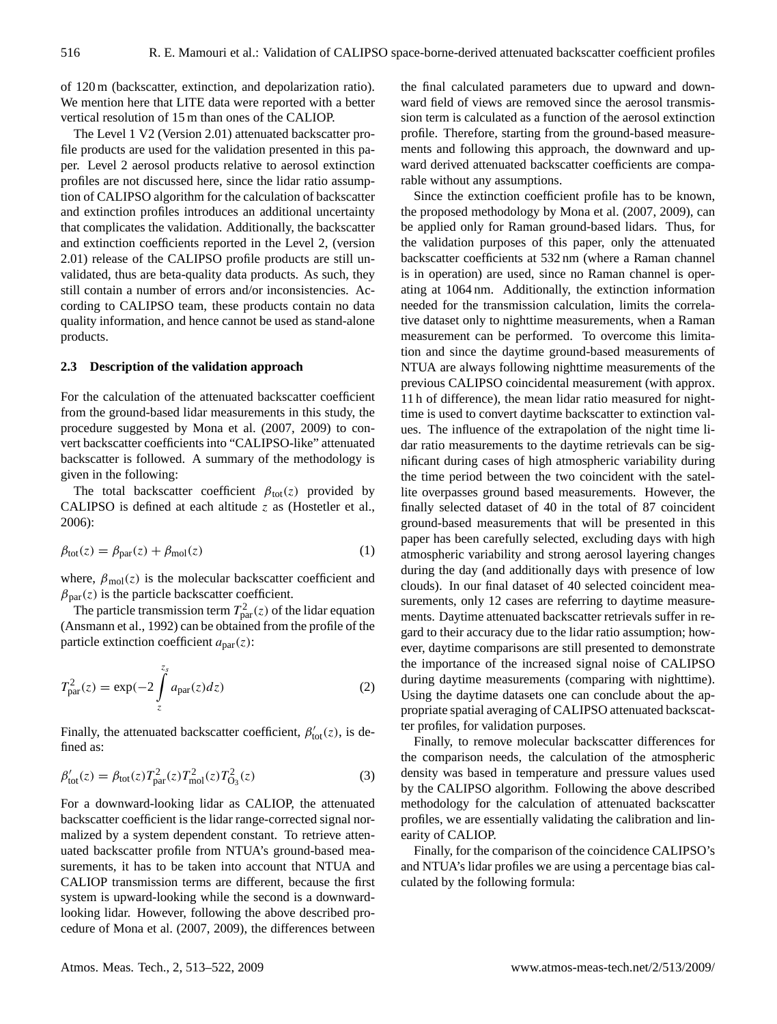of 120 m (backscatter, extinction, and depolarization ratio). We mention here that LITE data were reported with a better vertical resolution of 15 m than ones of the CALIOP.

The Level 1 V2 (Version 2.01) attenuated backscatter profile products are used for the validation presented in this paper. Level 2 aerosol products relative to aerosol extinction profiles are not discussed here, since the lidar ratio assumption of CALIPSO algorithm for the calculation of backscatter and extinction profiles introduces an additional uncertainty that complicates the validation. Additionally, the backscatter and extinction coefficients reported in the Level 2, (version 2.01) release of the CALIPSO profile products are still unvalidated, thus are beta-quality data products. As such, they still contain a number of errors and/or inconsistencies. According to CALIPSO team, these products contain no data quality information, and hence cannot be used as stand-alone products.

## **2.3 Description of the validation approach**

For the calculation of the attenuated backscatter coefficient from the ground-based lidar measurements in this study, the procedure suggested by Mona et al. (2007, 2009) to convert backscatter coefficients into "CALIPSO-like" attenuated backscatter is followed. A summary of the methodology is given in the following:

The total backscatter coefficient  $\beta_{tot}(z)$  provided by CALIPSO is defined at each altitude  $z$  as (Hostetler et al., 2006):

$$
\beta_{\text{tot}}(z) = \beta_{\text{par}}(z) + \beta_{\text{mol}}(z) \tag{1}
$$

where,  $\beta_{\text{mol}}(z)$  is the molecular backscatter coefficient and  $\beta_{\text{par}}(z)$  is the particle backscatter coefficient.

The particle transmission term  $T_{\text{par}}^2(z)$  of the lidar equation (Ansmann et al., 1992) can be obtained from the profile of the particle extinction coefficient  $a<sub>par</sub>(z)$ :

$$
T_{\text{par}}^2(z) = \exp(-2 \int_z^{z_s} a_{\text{par}}(z) dz)
$$
 (2)

Finally, the attenuated backscatter coefficient,  $\beta'_{\text{tot}}(z)$ , is defined as:

$$
\beta'_{\text{tot}}(z) = \beta_{\text{tot}}(z) T_{\text{par}}^2(z) T_{\text{mol}}^2(z) T_{\text{O}_3}^2(z)
$$
\n(3)

For a downward-looking lidar as CALIOP, the attenuated backscatter coefficient is the lidar range-corrected signal normalized by a system dependent constant. To retrieve attenuated backscatter profile from NTUA's ground-based measurements, it has to be taken into account that NTUA and CALIOP transmission terms are different, because the first system is upward-looking while the second is a downwardlooking lidar. However, following the above described procedure of Mona et al. (2007, 2009), the differences between the final calculated parameters due to upward and downward field of views are removed since the aerosol transmission term is calculated as a function of the aerosol extinction profile. Therefore, starting from the ground-based measurements and following this approach, the downward and upward derived attenuated backscatter coefficients are comparable without any assumptions.

Since the extinction coefficient profile has to be known, the proposed methodology by Mona et al. (2007, 2009), can be applied only for Raman ground-based lidars. Thus, for the validation purposes of this paper, only the attenuated backscatter coefficients at 532 nm (where a Raman channel is in operation) are used, since no Raman channel is operating at 1064 nm. Additionally, the extinction information needed for the transmission calculation, limits the correlative dataset only to nighttime measurements, when a Raman measurement can be performed. To overcome this limitation and since the daytime ground-based measurements of NTUA are always following nighttime measurements of the previous CALIPSO coincidental measurement (with approx. 11 h of difference), the mean lidar ratio measured for nighttime is used to convert daytime backscatter to extinction values. The influence of the extrapolation of the night time lidar ratio measurements to the daytime retrievals can be significant during cases of high atmospheric variability during the time period between the two coincident with the satellite overpasses ground based measurements. However, the finally selected dataset of 40 in the total of 87 coincident ground-based measurements that will be presented in this paper has been carefully selected, excluding days with high atmospheric variability and strong aerosol layering changes during the day (and additionally days with presence of low clouds). In our final dataset of 40 selected coincident measurements, only 12 cases are referring to daytime measurements. Daytime attenuated backscatter retrievals suffer in regard to their accuracy due to the lidar ratio assumption; however, daytime comparisons are still presented to demonstrate the importance of the increased signal noise of CALIPSO during daytime measurements (comparing with nighttime). Using the daytime datasets one can conclude about the appropriate spatial averaging of CALIPSO attenuated backscatter profiles, for validation purposes.

Finally, to remove molecular backscatter differences for the comparison needs, the calculation of the atmospheric density was based in temperature and pressure values used by the CALIPSO algorithm. Following the above described methodology for the calculation of attenuated backscatter profiles, we are essentially validating the calibration and linearity of CALIOP.

Finally, for the comparison of the coincidence CALIPSO's and NTUA's lidar profiles we are using a percentage bias calculated by the following formula: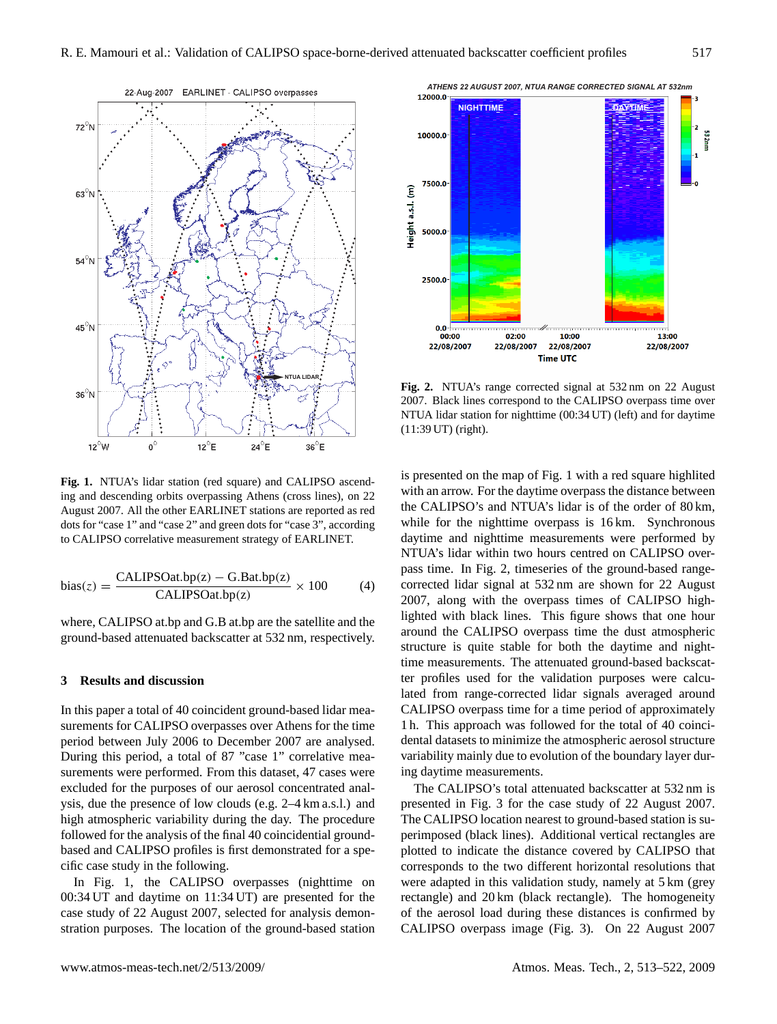

**Fig. 1.** NTUA's lidar station (red square) and CALIPSO ascending and descending orbits overpassing Athens (cross lines), on 22 August 2007. All the other EARLINET stations are reported as red dots for "case 1" and "case 2" and green dots for "case 3", according to CALIPSO correlative measurement strategy of EARLINET.

bias(z) = 
$$
\frac{\text{CALIPSOat.bp(z)} - \text{G.Bat.bp(z)}}{\text{CALIPSOat.bp(z)}} \times 100
$$
 (4)

where, CALIPSO at.bp and G.B at.bp are the satellite and the ground-based attenuated backscatter at 532 nm, respectively.

## **3 Results and discussion**

In this paper a total of 40 coincident ground-based lidar measurements for CALIPSO overpasses over Athens for the time period between July 2006 to December 2007 are analysed. During this period, a total of 87 "case 1" correlative measurements were performed. From this dataset, 47 cases were excluded for the purposes of our aerosol concentrated analysis, due the presence of low clouds (e.g. 2–4 km a.s.l.) and high atmospheric variability during the day. The procedure followed for the analysis of the final 40 coincidential groundbased and CALIPSO profiles is first demonstrated for a specific case study in the following.

In Fig. 1, the CALIPSO overpasses (nighttime on 00:34 UT and daytime on 11:34 UT) are presented for the case study of 22 August 2007, selected for analysis demonstration purposes. The location of the ground-based station



**Fig. 2.** NTUA's range corrected signal at 532 nm on 22 August 2007. Black lines correspond to the CALIPSO overpass time over NTUA lidar station for nighttime (00:34 UT) (left) and for daytime (11:39 UT) (right).

is presented on the map of Fig. 1 with a red square highlited with an arrow. For the daytime overpass the distance between the CALIPSO's and NTUA's lidar is of the order of 80 km, while for the nighttime overpass is 16 km. Synchronous daytime and nighttime measurements were performed by NTUA's lidar within two hours centred on CALIPSO overpass time. In Fig. 2, timeseries of the ground-based rangecorrected lidar signal at 532 nm are shown for 22 August 2007, along with the overpass times of CALIPSO highlighted with black lines. This figure shows that one hour around the CALIPSO overpass time the dust atmospheric structure is quite stable for both the daytime and nighttime measurements. The attenuated ground-based backscatter profiles used for the validation purposes were calculated from range-corrected lidar signals averaged around CALIPSO overpass time for a time period of approximately 1 h. This approach was followed for the total of 40 coincidental datasets to minimize the atmospheric aerosol structure variability mainly due to evolution of the boundary layer during daytime measurements.

The CALIPSO's total attenuated backscatter at 532 nm is presented in Fig. 3 for the case study of 22 August 2007. The CALIPSO location nearest to ground-based station is superimposed (black lines). Additional vertical rectangles are plotted to indicate the distance covered by CALIPSO that corresponds to the two different horizontal resolutions that were adapted in this validation study, namely at 5 km (grey rectangle) and 20 km (black rectangle). The homogeneity of the aerosol load during these distances is confirmed by CALIPSO overpass image (Fig. 3). On 22 August 2007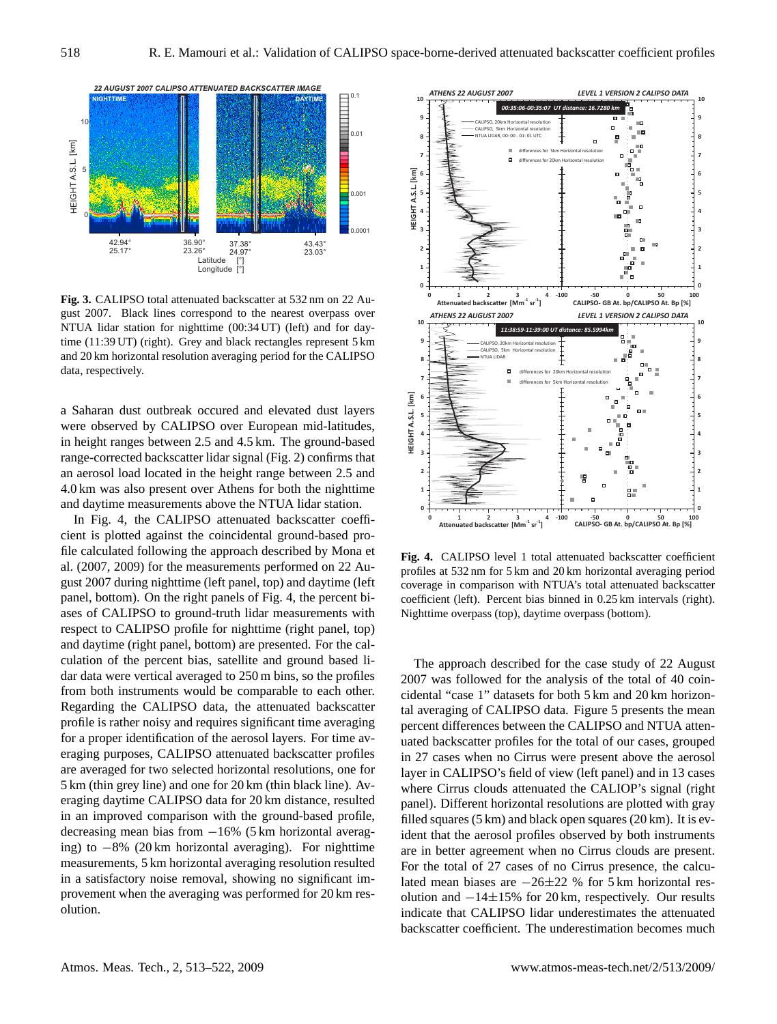

**Fig. 3.** CALIPSO total attenuated backscatter at 532 nm on 22 August 2007. Black lines correspond to the nearest overpass over NTUA lidar station for nighttime (00:34 UT) (left) and for daytime (11:39 UT) (right). Grey and black rectangles represent 5 km and 20 km horizontal resolution averaging period for the CALIPSO data, respectively.

a Saharan dust outbreak occured and elevated dust layers were observed by CALIPSO over European mid-latitudes, in height ranges between 2.5 and 4.5 km. The ground-based range-corrected backscatter lidar signal (Fig. 2) confirms that an aerosol load located in the height range between 2.5 and 4.0 km was also present over Athens for both the nighttime and daytime measurements above the NTUA lidar station.

In Fig. 4, the CALIPSO attenuated backscatter coefficient is plotted against the coincidental ground-based profile calculated following the approach described by Mona et al. (2007, 2009) for the measurements performed on 22 August 2007 during nighttime (left panel, top) and daytime (left panel, bottom). On the right panels of Fig. 4, the percent biases of CALIPSO to ground-truth lidar measurements with respect to CALIPSO profile for nighttime (right panel, top) and daytime (right panel, bottom) are presented. For the calculation of the percent bias, satellite and ground based lidar data were vertical averaged to 250 m bins, so the profiles from both instruments would be comparable to each other. Regarding the CALIPSO data, the attenuated backscatter profile is rather noisy and requires significant time averaging for a proper identification of the aerosol layers. For time averaging purposes, CALIPSO attenuated backscatter profiles are averaged for two selected horizontal resolutions, one for 5 km (thin grey line) and one for 20 km (thin black line). Averaging daytime CALIPSO data for 20 km distance, resulted in an improved comparison with the ground-based profile, decreasing mean bias from −16% (5 km horizontal averaging) to −8% (20 km horizontal averaging). For nighttime measurements, 5 km horizontal averaging resolution resulted in a satisfactory noise removal, showing no significant improvement when the averaging was performed for 20 km resolution.



**Fig. 4.** CALIPSO level 1 total attenuated backscatter coefficient profiles at 532 nm for 5 km and 20 km horizontal averaging period coverage in comparison with NTUA's total attenuated backscatter coefficient (left). Percent bias binned in 0.25 km intervals (right). Nighttime overpass (top), daytime overpass (bottom).

The approach described for the case study of 22 August 2007 was followed for the analysis of the total of 40 coincidental "case 1" datasets for both 5 km and 20 km horizontal averaging of CALIPSO data. Figure 5 presents the mean percent differences between the CALIPSO and NTUA attenuated backscatter profiles for the total of our cases, grouped in 27 cases when no Cirrus were present above the aerosol layer in CALIPSO's field of view (left panel) and in 13 cases where Cirrus clouds attenuated the CALIOP's signal (right panel). Different horizontal resolutions are plotted with gray filled squares (5 km) and black open squares (20 km). It is evident that the aerosol profiles observed by both instruments are in better agreement when no Cirrus clouds are present. For the total of 27 cases of no Cirrus presence, the calculated mean biases are −26±22 % for 5 km horizontal resolution and −14±15% for 20 km, respectively. Our results indicate that CALIPSO lidar underestimates the attenuated backscatter coefficient. The underestimation becomes much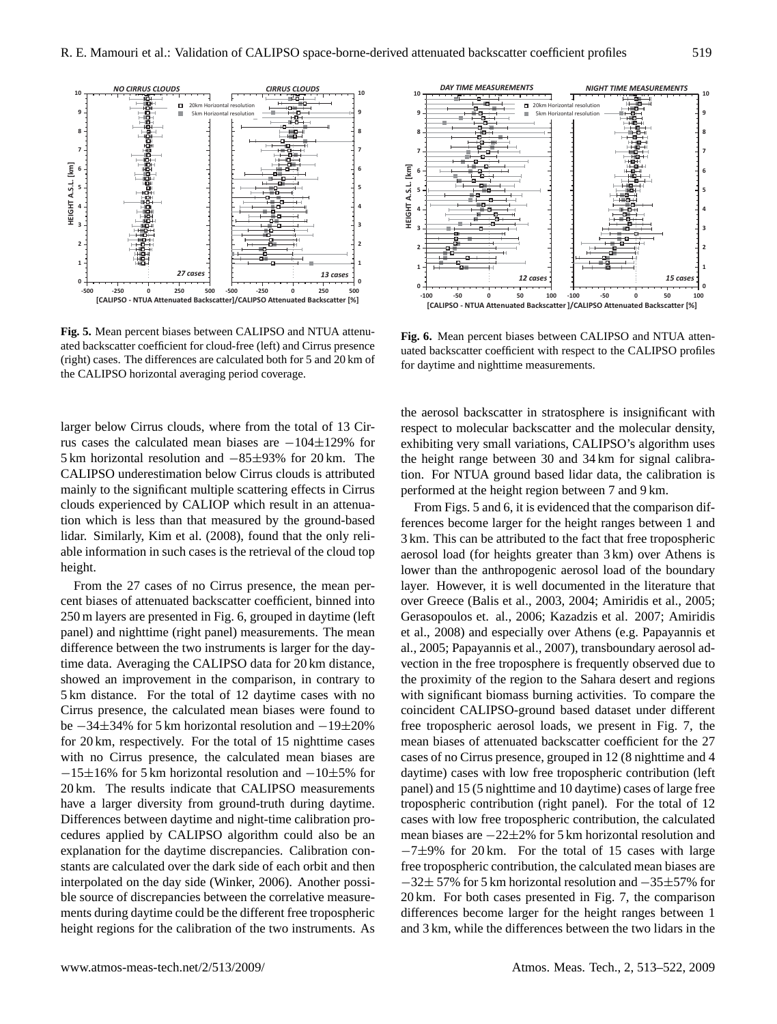

**Fig. 5.** Mean percent biases between CALIPSO and NTUA attenuated backscatter coefficient for cloud-free (left) and Cirrus presence (right) cases. The differences are calculated both for 5 and 20 km of the CALIPSO horizontal averaging period coverage.

larger below Cirrus clouds, where from the total of 13 Cirrus cases the calculated mean biases are −104±129% for 5 km horizontal resolution and −85±93% for 20 km. The CALIPSO underestimation below Cirrus clouds is attributed mainly to the significant multiple scattering effects in Cirrus clouds experienced by CALIOP which result in an attenuation which is less than that measured by the ground-based lidar. Similarly, Kim et al. (2008), found that the only reliable information in such cases is the retrieval of the cloud top height.

From the 27 cases of no Cirrus presence, the mean percent biases of attenuated backscatter coefficient, binned into 250 m layers are presented in Fig. 6, grouped in daytime (left panel) and nighttime (right panel) measurements. The mean difference between the two instruments is larger for the daytime data. Averaging the CALIPSO data for 20 km distance, showed an improvement in the comparison, in contrary to 5 km distance. For the total of 12 daytime cases with no Cirrus presence, the calculated mean biases were found to be −34±34% for 5 km horizontal resolution and −19±20% for 20 km, respectively. For the total of 15 nighttime cases with no Cirrus presence, the calculated mean biases are −15±16% for 5 km horizontal resolution and −10±5% for 20 km. The results indicate that CALIPSO measurements have a larger diversity from ground-truth during daytime. Differences between daytime and night-time calibration procedures applied by CALIPSO algorithm could also be an explanation for the daytime discrepancies. Calibration constants are calculated over the dark side of each orbit and then interpolated on the day side (Winker, 2006). Another possible source of discrepancies between the correlative measurements during daytime could be the different free tropospheric height regions for the calibration of the two instruments. As



**Fig. 6.** Mean percent biases between CALIPSO and NTUA attenuated backscatter coefficient with respect to the CALIPSO profiles for daytime and nighttime measurements.

the aerosol backscatter in stratosphere is insignificant with respect to molecular backscatter and the molecular density, exhibiting very small variations, CALIPSO's algorithm uses the height range between 30 and 34 km for signal calibration. For NTUA ground based lidar data, the calibration is performed at the height region between 7 and 9 km.

From Figs. 5 and 6, it is evidenced that the comparison differences become larger for the height ranges between 1 and 3 km. This can be attributed to the fact that free tropospheric aerosol load (for heights greater than 3 km) over Athens is lower than the anthropogenic aerosol load of the boundary layer. However, it is well documented in the literature that over Greece (Balis et al., 2003, 2004; Amiridis et al., 2005; Gerasopoulos et. al., 2006; Kazadzis et al. 2007; Amiridis et al., 2008) and especially over Athens (e.g. Papayannis et al., 2005; Papayannis et al., 2007), transboundary aerosol advection in the free troposphere is frequently observed due to the proximity of the region to the Sahara desert and regions with significant biomass burning activities. To compare the coincident CALIPSO-ground based dataset under different free tropospheric aerosol loads, we present in Fig. 7, the mean biases of attenuated backscatter coefficient for the 27 cases of no Cirrus presence, grouped in 12 (8 nighttime and 4 daytime) cases with low free tropospheric contribution (left panel) and 15 (5 nighttime and 10 daytime) cases of large free tropospheric contribution (right panel). For the total of 12 cases with low free tropospheric contribution, the calculated mean biases are −22±2% for 5 km horizontal resolution and −7±9% for 20 km. For the total of 15 cases with large free tropospheric contribution, the calculated mean biases are −32± 57% for 5 km horizontal resolution and −35±57% for 20 km. For both cases presented in Fig. 7, the comparison differences become larger for the height ranges between 1 and 3 km, while the differences between the two lidars in the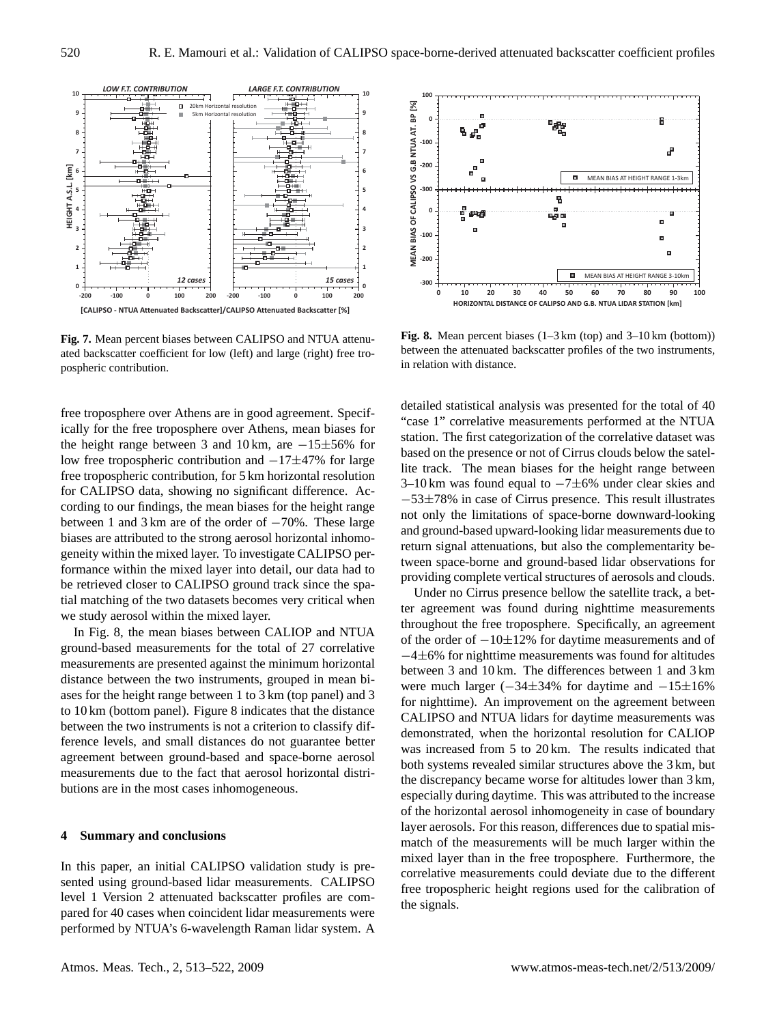

**Fig. 7.** Mean percent biases between CALIPSO and NTUA attenuated backscatter coefficient for low (left) and large (right) free tropospheric contribution.

free troposphere over Athens are in good agreement. Specifically for the free troposphere over Athens, mean biases for the height range between 3 and 10 km, are −15±56% for low free tropospheric contribution and −17±47% for large free tropospheric contribution, for 5 km horizontal resolution for CALIPSO data, showing no significant difference. According to our findings, the mean biases for the height range between 1 and 3 km are of the order of −70%. These large biases are attributed to the strong aerosol horizontal inhomogeneity within the mixed layer. To investigate CALIPSO performance within the mixed layer into detail, our data had to be retrieved closer to CALIPSO ground track since the spatial matching of the two datasets becomes very critical when we study aerosol within the mixed layer.

In Fig. 8, the mean biases between CALIOP and NTUA ground-based measurements for the total of 27 correlative measurements are presented against the minimum horizontal distance between the two instruments, grouped in mean biases for the height range between 1 to 3 km (top panel) and 3 to 10 km (bottom panel). Figure 8 indicates that the distance between the two instruments is not a criterion to classify difference levels, and small distances do not guarantee better agreement between ground-based and space-borne aerosol measurements due to the fact that aerosol horizontal distributions are in the most cases inhomogeneous.

## **4 Summary and conclusions**

In this paper, an initial CALIPSO validation study is presented using ground-based lidar measurements. CALIPSO level 1 Version 2 attenuated backscatter profiles are compared for 40 cases when coincident lidar measurements were performed by NTUA's 6-wavelength Raman lidar system. A



**Fig. 8.** Mean percent biases (1–3 km (top) and 3–10 km (bottom)) between the attenuated backscatter profiles of the two instruments, in relation with distance.

detailed statistical analysis was presented for the total of 40 "case 1" correlative measurements performed at the NTUA station. The first categorization of the correlative dataset was based on the presence or not of Cirrus clouds below the satellite track. The mean biases for the height range between 3–10 km was found equal to −7±6% under clear skies and −53±78% in case of Cirrus presence. This result illustrates not only the limitations of space-borne downward-looking and ground-based upward-looking lidar measurements due to return signal attenuations, but also the complementarity between space-borne and ground-based lidar observations for providing complete vertical structures of aerosols and clouds.

Under no Cirrus presence bellow the satellite track, a better agreement was found during nighttime measurements throughout the free troposphere. Specifically, an agreement of the order of −10±12% for daytime measurements and of −4±6% for nighttime measurements was found for altitudes between 3 and 10 km. The differences between 1 and 3 km were much larger  $(-34\pm34\%$  for daytime and  $-15\pm16\%$ for nighttime). An improvement on the agreement between CALIPSO and NTUA lidars for daytime measurements was demonstrated, when the horizontal resolution for CALIOP was increased from 5 to 20 km. The results indicated that both systems revealed similar structures above the 3 km, but the discrepancy became worse for altitudes lower than 3 km, especially during daytime. This was attributed to the increase of the horizontal aerosol inhomogeneity in case of boundary layer aerosols. For this reason, differences due to spatial mismatch of the measurements will be much larger within the mixed layer than in the free troposphere. Furthermore, the correlative measurements could deviate due to the different free tropospheric height regions used for the calibration of the signals.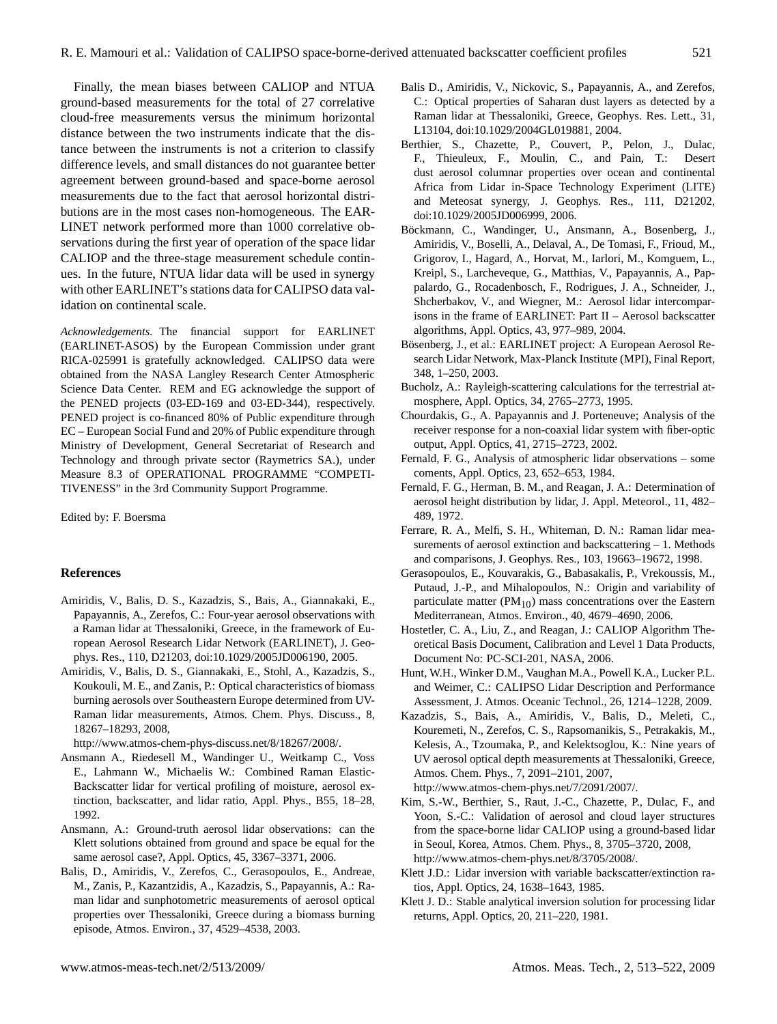Finally, the mean biases between CALIOP and NTUA ground-based measurements for the total of 27 correlative cloud-free measurements versus the minimum horizontal distance between the two instruments indicate that the distance between the instruments is not a criterion to classify difference levels, and small distances do not guarantee better agreement between ground-based and space-borne aerosol measurements due to the fact that aerosol horizontal distributions are in the most cases non-homogeneous. The EAR-LINET network performed more than 1000 correlative observations during the first year of operation of the space lidar CALIOP and the three-stage measurement schedule continues. In the future, NTUA lidar data will be used in synergy with other EARLINET's stations data for CALIPSO data validation on continental scale.

*Acknowledgements.* The financial support for EARLINET (EARLINET-ASOS) by the European Commission under grant RICA-025991 is gratefully acknowledged. CALIPSO data were obtained from the NASA Langley Research Center Atmospheric Science Data Center. REM and EG acknowledge the support of the PENED projects (03-ED-169 and 03-ED-344), respectively. PENED project is co-financed 80% of Public expenditure through EC – European Social Fund and 20% of Public expenditure through Ministry of Development, General Secretariat of Research and Technology and through private sector (Raymetrics SA.), under Measure 8.3 of OPERATIONAL PROGRAMME "COMPETI-TIVENESS" in the 3rd Community Support Programme.

Edited by: F. Boersma

#### **References**

- Amiridis, V., Balis, D. S., Kazadzis, S., Bais, A., Giannakaki, E., Papayannis, A., Zerefos, C.: Four-year aerosol observations with a Raman lidar at Thessaloniki, Greece, in the framework of European Aerosol Research Lidar Network (EARLINET), J. Geophys. Res., 110, D21203, doi:10.1029/2005JD006190, 2005.
- Amiridis, V., Balis, D. S., Giannakaki, E., Stohl, A., Kazadzis, S., Koukouli, M. E., and Zanis, P.: Optical characteristics of biomass burning aerosols over Southeastern Europe determined from UV-Raman lidar measurements, Atmos. Chem. Phys. Discuss., 8, 18267–18293, 2008,

[http://www.atmos-chem-phys-discuss.net/8/18267/2008/.](http://www.atmos-chem-phys-discuss.net/8/18267/2008/)

- Ansmann A., Riedesell M., Wandinger U., Weitkamp C., Voss E., Lahmann W., Michaelis W.: Combined Raman Elastic-Backscatter lidar for vertical profiling of moisture, aerosol extinction, backscatter, and lidar ratio, Appl. Phys., B55, 18–28, 1992.
- Ansmann, A.: Ground-truth aerosol lidar observations: can the Klett solutions obtained from ground and space be equal for the same aerosol case?, Appl. Optics, 45, 3367–3371, 2006.
- Balis, D., Amiridis, V., Zerefos, C., Gerasopoulos, E., Andreae, M., Zanis, P., Kazantzidis, A., Kazadzis, S., Papayannis, A.: Raman lidar and sunphotometric measurements of aerosol optical properties over Thessaloniki, Greece during a biomass burning episode, Atmos. Environ., 37, 4529–4538, 2003.
- Balis D., Amiridis, V., Nickovic, S., Papayannis, A., and Zerefos, C.: Optical properties of Saharan dust layers as detected by a Raman lidar at Thessaloniki, Greece, Geophys. Res. Lett., 31, L13104, doi:10.1029/2004GL019881, 2004.
- Berthier, S., Chazette, P., Couvert, P., Pelon, J., Dulac, F., Thieuleux, F., Moulin, C., and Pain, T.: Desert dust aerosol columnar properties over ocean and continental Africa from Lidar in-Space Technology Experiment (LITE) and Meteosat synergy, J. Geophys. Res., 111, D21202, doi:10.1029/2005JD006999, 2006.
- Böckmann, C., Wandinger, U., Ansmann, A., Bosenberg, J., Amiridis, V., Boselli, A., Delaval, A., De Tomasi, F., Frioud, M., Grigorov, I., Hagard, A., Horvat, M., Iarlori, M., Komguem, L., Kreipl, S., Larcheveque, G., Matthias, V., Papayannis, A., Pappalardo, G., Rocadenbosch, F., Rodrigues, J. A., Schneider, J., Shcherbakov, V., and Wiegner, M.: Aerosol lidar intercomparisons in the frame of EARLINET: Part II – Aerosol backscatter algorithms, Appl. Optics, 43, 977–989, 2004.
- Bösenberg, J., et al.: EARLINET project: A European Aerosol Research Lidar Network, Max-Planck Institute (MPI), Final Report, 348, 1–250, 2003.
- Bucholz, A.: Rayleigh-scattering calculations for the terrestrial atmosphere, Appl. Optics, 34, 2765–2773, 1995.
- Chourdakis, G., A. Papayannis and J. Porteneuve; Analysis of the receiver response for a non-coaxial lidar system with fiber-optic output, Appl. Optics, 41, 2715–2723, 2002.
- Fernald, F. G., Analysis of atmospheric lidar observations some coments, Appl. Optics, 23, 652–653, 1984.
- Fernald, F. G., Herman, B. M., and Reagan, J. A.: Determination of aerosol height distribution by lidar, J. Appl. Meteorol., 11, 482– 489, 1972.
- Ferrare, R. A., Melfi, S. H., Whiteman, D. N.: Raman lidar measurements of aerosol extinction and backscattering – 1. Methods and comparisons, J. Geophys. Res., 103, 19663–19672, 1998.
- Gerasopoulos, E., Kouvarakis, G., Babasakalis, P., Vrekoussis, M., Putaud, J.-P., and Mihalopoulos, N.: Origin and variability of particulate matter  $(PM_{10})$  mass concentrations over the Eastern Mediterranean, Atmos. Environ., 40, 4679–4690, 2006.
- Hostetler, C. A., Liu, Z., and Reagan, J.: CALIOP Algorithm Theoretical Basis Document, Calibration and Level 1 Data Products, Document No: PC-SCI-201, NASA, 2006.
- Hunt, W.H., Winker D.M., Vaughan M.A., Powell K.A., Lucker P.L. and Weimer, C.: CALIPSO Lidar Description and Performance Assessment, J. Atmos. Oceanic Technol., 26, 1214–1228, 2009.
- Kazadzis, S., Bais, A., Amiridis, V., Balis, D., Meleti, C., Kouremeti, N., Zerefos, C. S., Rapsomanikis, S., Petrakakis, M., Kelesis, A., Tzoumaka, P., and Kelektsoglou, K.: Nine years of UV aerosol optical depth measurements at Thessaloniki, Greece, Atmos. Chem. Phys., 7, 2091–2101, 2007,

[http://www.atmos-chem-phys.net/7/2091/2007/.](http://www.atmos-chem-phys.net/7/2091/2007/)

- Kim, S.-W., Berthier, S., Raut, J.-C., Chazette, P., Dulac, F., and Yoon, S.-C.: Validation of aerosol and cloud layer structures from the space-borne lidar CALIOP using a ground-based lidar in Seoul, Korea, Atmos. Chem. Phys., 8, 3705–3720, 2008, [http://www.atmos-chem-phys.net/8/3705/2008/.](http://www.atmos-chem-phys.net/8/3705/2008/)
- Klett J.D.: Lidar inversion with variable backscatter/extinction ratios, Appl. Optics, 24, 1638–1643, 1985.
- Klett J. D.: Stable analytical inversion solution for processing lidar returns, Appl. Optics, 20, 211–220, 1981.